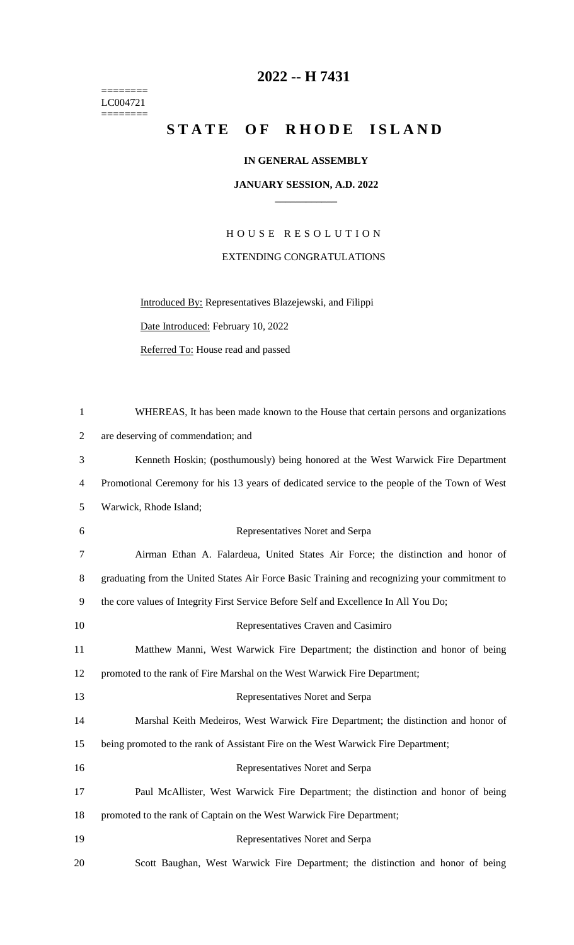$=$ LC004721  $=$ 

## **2022 -- H 7431**

## STATE OF RHODE ISLAND

## **IN GENERAL ASSEMBLY**

## **JANUARY SESSION, A.D. 2022 \_\_\_\_\_\_\_\_\_\_\_\_**

H O U S E R E S O L U T I O N EXTENDING CONGRATULATIONS

Introduced By: Representatives Blazejewski, and Filippi Date Introduced: February 10, 2022

Referred To: House read and passed

| $\mathbf{1}$   | WHEREAS, It has been made known to the House that certain persons and organizations           |
|----------------|-----------------------------------------------------------------------------------------------|
| 2              | are deserving of commendation; and                                                            |
| 3              | Kenneth Hoskin; (posthumously) being honored at the West Warwick Fire Department              |
| $\overline{4}$ | Promotional Ceremony for his 13 years of dedicated service to the people of the Town of West  |
| 5              | Warwick, Rhode Island;                                                                        |
| 6              | Representatives Noret and Serpa                                                               |
| 7              | Airman Ethan A. Falardeua, United States Air Force; the distinction and honor of              |
| 8              | graduating from the United States Air Force Basic Training and recognizing your commitment to |
| 9              | the core values of Integrity First Service Before Self and Excellence In All You Do;          |
| 10             | Representatives Craven and Casimiro                                                           |
| 11             | Matthew Manni, West Warwick Fire Department; the distinction and honor of being               |
| 12             | promoted to the rank of Fire Marshal on the West Warwick Fire Department;                     |
| 13             | Representatives Noret and Serpa                                                               |
| 14             | Marshal Keith Medeiros, West Warwick Fire Department; the distinction and honor of            |
| 15             | being promoted to the rank of Assistant Fire on the West Warwick Fire Department;             |
| 16             | Representatives Noret and Serpa                                                               |
| 17             | Paul McAllister, West Warwick Fire Department; the distinction and honor of being             |
| 18             | promoted to the rank of Captain on the West Warwick Fire Department;                          |
| 19             | Representatives Noret and Serpa                                                               |
| 20             | Scott Baughan, West Warwick Fire Department; the distinction and honor of being               |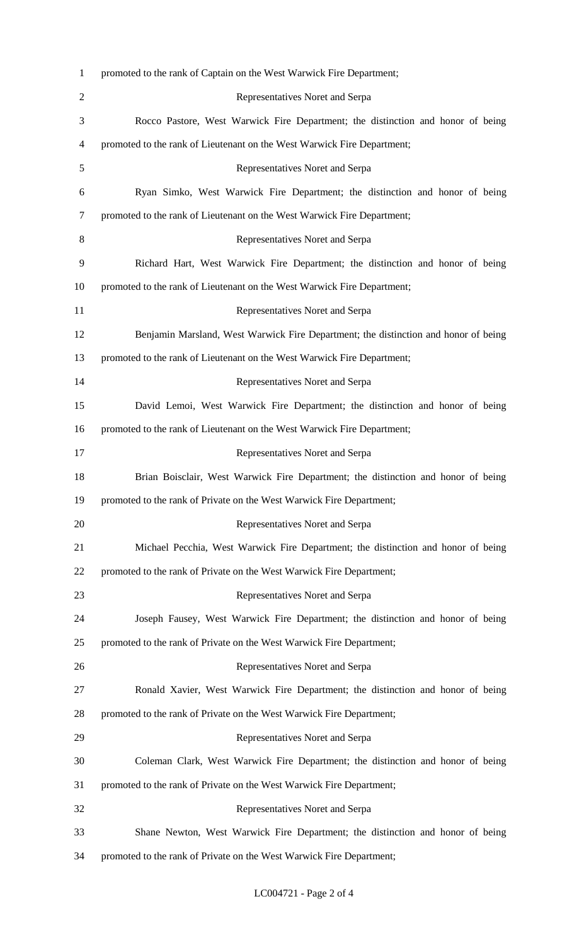| $\mathbf{1}$   | promoted to the rank of Captain on the West Warwick Fire Department;                |
|----------------|-------------------------------------------------------------------------------------|
| $\overline{2}$ | Representatives Noret and Serpa                                                     |
| 3              | Rocco Pastore, West Warwick Fire Department; the distinction and honor of being     |
| 4              | promoted to the rank of Lieutenant on the West Warwick Fire Department;             |
| 5              | Representatives Noret and Serpa                                                     |
| 6              | Ryan Simko, West Warwick Fire Department; the distinction and honor of being        |
| 7              | promoted to the rank of Lieutenant on the West Warwick Fire Department;             |
| 8              | Representatives Noret and Serpa                                                     |
| 9              | Richard Hart, West Warwick Fire Department; the distinction and honor of being      |
| 10             | promoted to the rank of Lieutenant on the West Warwick Fire Department;             |
| 11             | Representatives Noret and Serpa                                                     |
| 12             | Benjamin Marsland, West Warwick Fire Department; the distinction and honor of being |
| 13             | promoted to the rank of Lieutenant on the West Warwick Fire Department;             |
| 14             | Representatives Noret and Serpa                                                     |
| 15             | David Lemoi, West Warwick Fire Department; the distinction and honor of being       |
| 16             | promoted to the rank of Lieutenant on the West Warwick Fire Department;             |
| 17             | Representatives Noret and Serpa                                                     |
| 18             | Brian Boisclair, West Warwick Fire Department; the distinction and honor of being   |
| 19             | promoted to the rank of Private on the West Warwick Fire Department;                |
| 20             | Representatives Noret and Serpa                                                     |
| 21             | Michael Pecchia, West Warwick Fire Department; the distinction and honor of being   |
| 22             | promoted to the rank of Private on the West Warwick Fire Department;                |
| 23             | Representatives Noret and Serpa                                                     |
| 24             | Joseph Fausey, West Warwick Fire Department; the distinction and honor of being     |
| 25             | promoted to the rank of Private on the West Warwick Fire Department;                |
| 26             | Representatives Noret and Serpa                                                     |
| 27             | Ronald Xavier, West Warwick Fire Department; the distinction and honor of being     |
| 28             | promoted to the rank of Private on the West Warwick Fire Department;                |
| 29             | Representatives Noret and Serpa                                                     |
| 30             | Coleman Clark, West Warwick Fire Department; the distinction and honor of being     |
| 31             | promoted to the rank of Private on the West Warwick Fire Department;                |
| 32             | Representatives Noret and Serpa                                                     |
| 33             | Shane Newton, West Warwick Fire Department; the distinction and honor of being      |
| 34             | promoted to the rank of Private on the West Warwick Fire Department;                |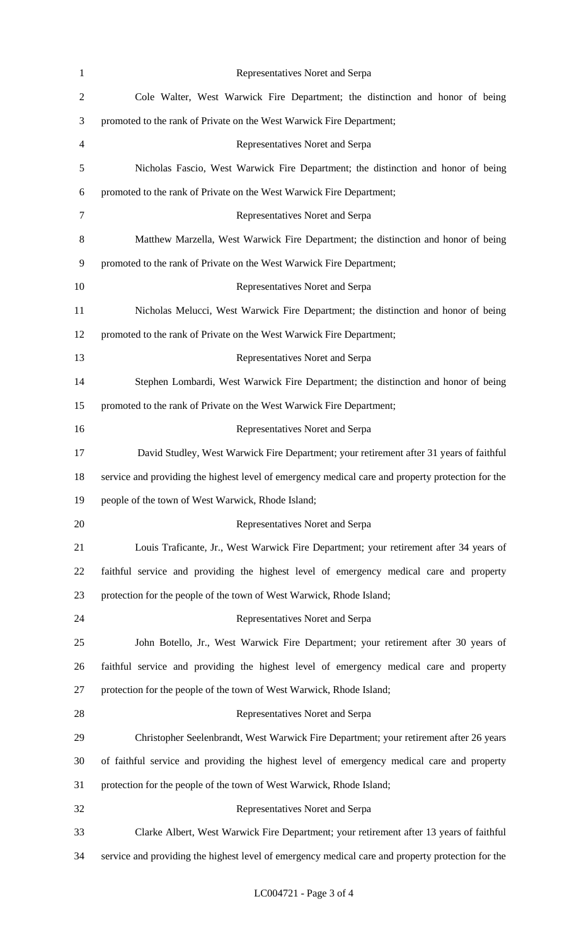| $\mathbf{1}$   | Representatives Noret and Serpa                                                                   |
|----------------|---------------------------------------------------------------------------------------------------|
| $\overline{c}$ | Cole Walter, West Warwick Fire Department; the distinction and honor of being                     |
| 3              | promoted to the rank of Private on the West Warwick Fire Department;                              |
| 4              | Representatives Noret and Serpa                                                                   |
| 5              | Nicholas Fascio, West Warwick Fire Department; the distinction and honor of being                 |
| 6              | promoted to the rank of Private on the West Warwick Fire Department;                              |
| $\tau$         | Representatives Noret and Serpa                                                                   |
| 8              | Matthew Marzella, West Warwick Fire Department; the distinction and honor of being                |
| 9              | promoted to the rank of Private on the West Warwick Fire Department;                              |
| 10             | Representatives Noret and Serpa                                                                   |
| 11             | Nicholas Melucci, West Warwick Fire Department; the distinction and honor of being                |
| 12             | promoted to the rank of Private on the West Warwick Fire Department;                              |
| 13             | Representatives Noret and Serpa                                                                   |
| 14             | Stephen Lombardi, West Warwick Fire Department; the distinction and honor of being                |
| 15             | promoted to the rank of Private on the West Warwick Fire Department;                              |
| 16             | Representatives Noret and Serpa                                                                   |
| 17             | David Studley, West Warwick Fire Department; your retirement after 31 years of faithful           |
| 18             | service and providing the highest level of emergency medical care and property protection for the |
| 19             | people of the town of West Warwick, Rhode Island;                                                 |
| 20             | Representatives Noret and Serpa                                                                   |
| 21             | Louis Traficante, Jr., West Warwick Fire Department; your retirement after 34 years of            |
| 22             | faithful service and providing the highest level of emergency medical care and property           |
| 23             | protection for the people of the town of West Warwick, Rhode Island;                              |
| 24             | Representatives Noret and Serpa                                                                   |
| 25             | John Botello, Jr., West Warwick Fire Department; your retirement after 30 years of                |
| 26             | faithful service and providing the highest level of emergency medical care and property           |
| 27             | protection for the people of the town of West Warwick, Rhode Island;                              |
| 28             | Representatives Noret and Serpa                                                                   |
| 29             | Christopher Seelenbrandt, West Warwick Fire Department; your retirement after 26 years            |
| 30             | of faithful service and providing the highest level of emergency medical care and property        |
| 31             | protection for the people of the town of West Warwick, Rhode Island;                              |
| 32             | Representatives Noret and Serpa                                                                   |
| 33             | Clarke Albert, West Warwick Fire Department; your retirement after 13 years of faithful           |
| 34             | service and providing the highest level of emergency medical care and property protection for the |